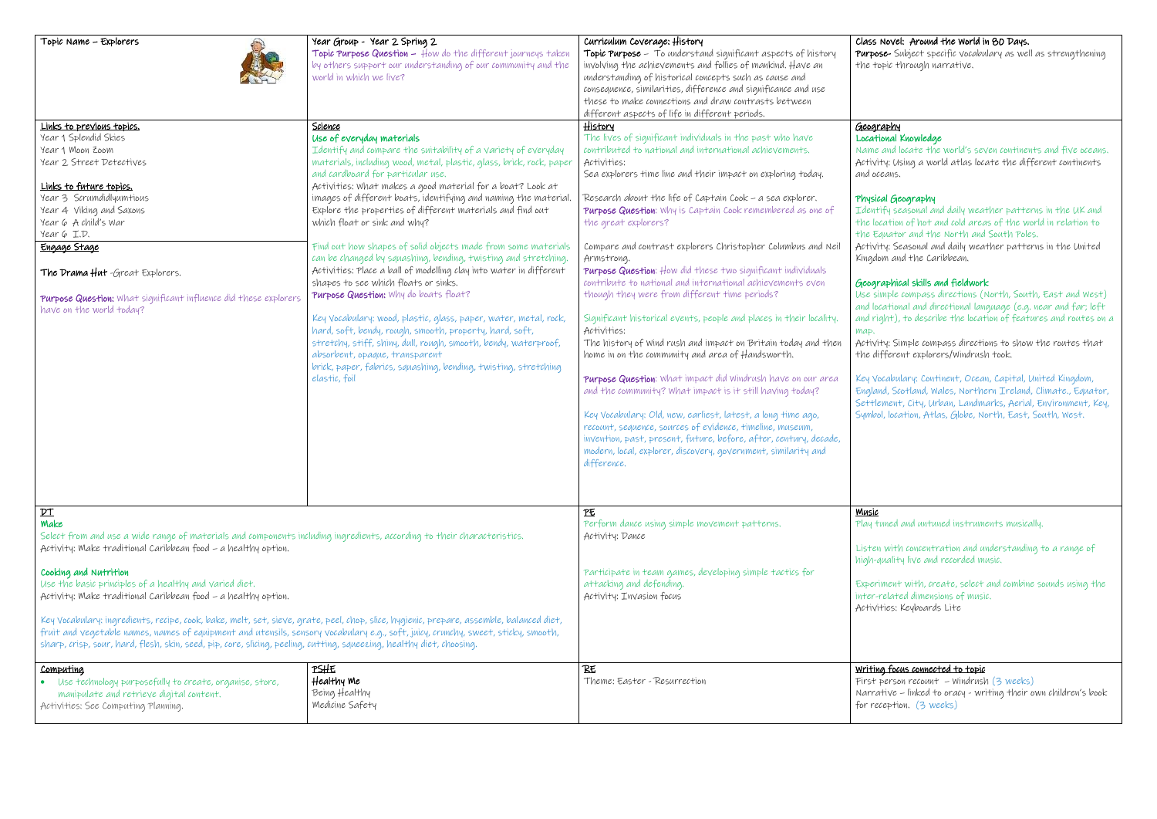Identify seasonal and daily weather patterns in the UK and location of hot and cold areas of the world in relation to Equator and the North and South Poles.

vity: Seasonal and daily weather patterns in the United dom and the Caribbean.

## graphical skills and fieldwork

simple compass directions (North, South, East and West) locational and directional language (e.g. near and far; left right), to describe the location of features and routes on a

vity: Simple compass directions to show the routes that different explorers/Windrush took.

Vocabulary: Continent, Ocean, Capital, United Kingdom, land, Scotland, Wales, Northern Ireland, Climate., Equator, tlement, City, Urban, Landmarks, Aerial, Environment, Key, bol, location, Atlas, Globe, North, East, South, West.

#### ic .

tuned and untuned instruments musically.

en with concentration and understanding to a range of -quality live and recorded music.

eriment with, create, select and combine sounds using the  $\sim$ related dimensions of music. vities: Keyboards Lite

## ing focus connected to topic

| Topic Name - Explorers                                                                                                                                                                                                                                                                                                                                                                                                                                                                                                                                                                                                                                                                                                                                                        | Year Group - Year 2 Spring 2<br>Topic Purpose Question - How do the different journeys taken<br>by others support our understanding of our community and the<br>world in which we live?                                                                                                                                                                                                                                                                                                                                                                                                                                                                                                                                                                                                                                                                                                                                                                                                                                                                             | Curriculum Coverage: History<br>Topic Purpose - To understand significant aspects of history<br>involving the achievements and follies of mankind. Have an<br>understanding of historical concepts such as cause and<br>consequence, similarities, difference and significance and use<br>these to make connections and draw contrasts between<br>different aspects of life in different periods.                                                                                                                                                                                                                                                                                                                                                                                                                                                                                                                                                                                                                                                                                                                                                                                                                                                                | Class<br>Purp<br>$the -$                                                                                                                                                           |
|-------------------------------------------------------------------------------------------------------------------------------------------------------------------------------------------------------------------------------------------------------------------------------------------------------------------------------------------------------------------------------------------------------------------------------------------------------------------------------------------------------------------------------------------------------------------------------------------------------------------------------------------------------------------------------------------------------------------------------------------------------------------------------|---------------------------------------------------------------------------------------------------------------------------------------------------------------------------------------------------------------------------------------------------------------------------------------------------------------------------------------------------------------------------------------------------------------------------------------------------------------------------------------------------------------------------------------------------------------------------------------------------------------------------------------------------------------------------------------------------------------------------------------------------------------------------------------------------------------------------------------------------------------------------------------------------------------------------------------------------------------------------------------------------------------------------------------------------------------------|------------------------------------------------------------------------------------------------------------------------------------------------------------------------------------------------------------------------------------------------------------------------------------------------------------------------------------------------------------------------------------------------------------------------------------------------------------------------------------------------------------------------------------------------------------------------------------------------------------------------------------------------------------------------------------------------------------------------------------------------------------------------------------------------------------------------------------------------------------------------------------------------------------------------------------------------------------------------------------------------------------------------------------------------------------------------------------------------------------------------------------------------------------------------------------------------------------------------------------------------------------------|------------------------------------------------------------------------------------------------------------------------------------------------------------------------------------|
| <u>Links to previous topics.</u><br>Year 1 Splendid Skies<br>Year 1 Moon Zoom<br>Year 2 Street Detectives<br>Links to future topics.<br>Year 3 Scrumdidlyumtious<br>Year 4 Viking and Saxons<br>Year 6 A child's War<br>Year 6 I.D.<br>Engage Stage<br>The Drama Hut -Great Explorers.<br>Purpose Question: What significant influence did these explorers<br>have on the world today?                                                                                                                                                                                                                                                                                                                                                                                        | Science<br>Use of everyday materials<br>Identify and compare the suitability of a variety of everyday<br>materials, including wood, metal, plastic, glass, brick, rock, paper<br>and cardboard for particular use.<br>Activities: What makes a good material for a boat? Look at<br>images of different boats, identifying and naming the material.<br>Explore the properties of different materials and find out<br>which float or sink and why?<br>Find out how shapes of solid objects made from some materials<br>can be changed by squashing, bending, twisting and stretching.<br>Activities: Place a ball of modelling clay into water in different<br>shapes to see which floats or sinks.<br>Purpose Question: Why do boats float?<br>Key Vocabulary: wood, plastic, glass, paper, water, metal, rock,<br>hard, soft, bendy, rough, smooth, property, hard, soft,<br>stretchy, stiff, shiny, dull, rough, smooth, bendy, waterproof,<br>absorbent, opaque, transparent<br>brick, paper, fabrics, squashing, bending, twisting, stretching<br>elastic, foil | <u>History</u><br>The lives of significant individuals in the past who have<br>contributed to national and international achievements.<br>Activities:<br>Sea explorers time line and their impact on exploring today.<br>Research about the life of Captain Cook - a sea explorer.<br>Purpose Question: Why is Captain Cook remembered as one of<br>the great explorers?<br>Compare and contrast explorers Christopher Columbus and Neil<br>Armstrong.<br>Purpose Question: How did these two significant individuals<br>contribute to national and international achievements even<br>though they were from different time periods?<br>Significant historical events, people and places in their locality.<br>Activities:<br>The history of Wind rush and impact on Britain today and then<br>home in on the community and area of $H$ andsworth.<br>Purpose Question: What impact did Windrush have on our area<br>and the community? What impact is it still having today?<br>Key Vocabulary: Old, new, earliest, latest, a long time ago,<br>recount, sequence, sources of evidence, timeline, museum,<br>invention, past, present, future, before, after, century, decade,<br>modern, local, explorer, discovery, government, similarity and<br>difference. | <u>Geod</u><br>Loca<br>Nam<br>Activ<br>and o<br>Phys<br>Idev<br>the<br>the<br>Activ<br>King<br>Geoc<br>Use<br>and I<br>and<br>map.<br>Activ<br>the<br>Key'<br>Engl<br>Sett<br>Syml |
| $p_{\perp}$<br>Make<br>Select from and use a wide range of materials and components including ingredients, according to their characteristics.<br>Activity: Make traditional Caribbean food - a healthy option.<br>Cooking and Nutrition<br>Use the basic principles of a healthy and varied diet.<br>Activity: Make traditional Caribbean food - a healthy option.<br>Key Vocabulary: ingredients, recipe, cook, bake, melt, set, sieve, grate, peel, chop, slice, hygienic, prepare, assemble, balanced diet,<br>fruit and vegetable names, names of equipment and utensils, sensory vocabulary e.g., soft, juicy, crunchy, sweet, sticky, smooth,<br>sharp, crisp, sour, hard, flesh, skin, seed, pip, core, slicing, peeling, cutting, squeezing, healthy diet, choosing. |                                                                                                                                                                                                                                                                                                                                                                                                                                                                                                                                                                                                                                                                                                                                                                                                                                                                                                                                                                                                                                                                     | PE<br>Perform dance using simple movement patterns.<br>Activity: Dance<br>Participate in team games, developing simple tactics for<br>attacking and defending.<br>Activity: Invasion focus                                                                                                                                                                                                                                                                                                                                                                                                                                                                                                                                                                                                                                                                                                                                                                                                                                                                                                                                                                                                                                                                       | <b>Musi</b><br>Play<br>Liste<br>high<br>Expe<br>inter<br>Activ                                                                                                                     |
| <u>Computing</u><br>• Use technology purposefully to create, organise, store,<br>manipulate and retrieve digital content.<br>Activities: See Computing Planning.                                                                                                                                                                                                                                                                                                                                                                                                                                                                                                                                                                                                              | <u>PSHE</u><br>Healthy Me<br>Being Healthy<br>Medicine Safety                                                                                                                                                                                                                                                                                                                                                                                                                                                                                                                                                                                                                                                                                                                                                                                                                                                                                                                                                                                                       | RE<br>Theme: Easter - Resurrection                                                                                                                                                                                                                                                                                                                                                                                                                                                                                                                                                                                                                                                                                                                                                                                                                                                                                                                                                                                                                                                                                                                                                                                                                               | <u>Writ</u><br>First<br>Narr<br>for r                                                                                                                                              |

### ss Novel: Around the World in 80 Days.

pose- Subject specific vocabulary as well as strengthening topic through narrative.

# <u>graphy</u>

## **Tional Knowledge**

ne and locate the world's seven continents and five oceans. vity: Using a world atlas locate the different continents oceans.

### sical Geography

First person recount – Windrush (3 weeks) rative – linked to oracy - writing their own children's book reception. (3 weeks)